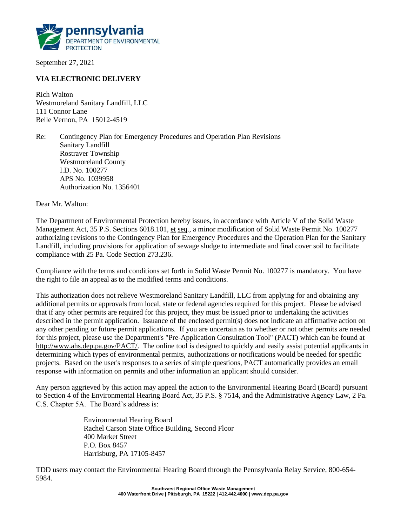

September 27, 2021

# **VIA ELECTRONIC DELIVERY**

Rich Walton Westmoreland Sanitary Landfill, LLC 111 Connor Lane Belle Vernon, PA 15012-4519

Re: Contingency Plan for Emergency Procedures and Operation Plan Revisions Sanitary Landfill Rostraver Township Westmoreland County I.D. No. 100277 APS No. 1039958 Authorization No. 1356401

Dear Mr. Walton:

The Department of Environmental Protection hereby issues, in accordance with Article V of the Solid Waste Management Act, 35 P.S. Sections 6018.101, et seq., a minor modification of Solid Waste Permit No. 100277 authorizing revisions to the Contingency Plan for Emergency Procedures and the Operation Plan for the Sanitary Landfill, including provisions for application of sewage sludge to intermediate and final cover soil to facilitate compliance with 25 Pa. Code Section 273.236.

Compliance with the terms and conditions set forth in Solid Waste Permit No. 100277 is mandatory. You have the right to file an appeal as to the modified terms and conditions.

This authorization does not relieve Westmoreland Sanitary Landfill, LLC from applying for and obtaining any additional permits or approvals from local, state or federal agencies required for this project. Please be advised that if any other permits are required for this project, they must be issued prior to undertaking the activities described in the permit application. Issuance of the enclosed permit(s) does not indicate an affirmative action on any other pending or future permit applications. If you are uncertain as to whether or not other permits are needed for this project, please use the Department's "Pre-Application Consultation Tool" (PACT) which can be found at http://www.ahs.dep.pa.gov/PACT/. The online tool is designed to quickly and easily assist potential applicants in determining which types of environmental permits, authorizations or notifications would be needed for specific projects. Based on the user's responses to a series of simple questions, PACT automatically provides an email response with information on permits and other information an applicant should consider.

Any person aggrieved by this action may appeal the action to the Environmental Hearing Board (Board) pursuant to Section 4 of the Environmental Hearing Board Act, 35 P.S. § 7514, and the Administrative Agency Law, 2 Pa. C.S. Chapter 5A. The Board's address is:

> Environmental Hearing Board Rachel Carson State Office Building, Second Floor 400 Market Street P.O. Box 8457 Harrisburg, PA 17105-8457

TDD users may contact the Environmental Hearing Board through the Pennsylvania Relay Service, 800-654- 5984.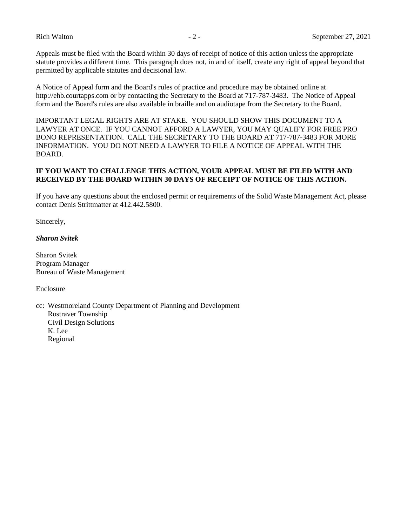Appeals must be filed with the Board within 30 days of receipt of notice of this action unless the appropriate statute provides a different time. This paragraph does not, in and of itself, create any right of appeal beyond that permitted by applicable statutes and decisional law.

A Notice of Appeal form and the Board's rules of practice and procedure may be obtained online at http://ehb.courtapps.com or by contacting the Secretary to the Board at 717-787-3483. The Notice of Appeal form and the Board's rules are also available in braille and on audiotape from the Secretary to the Board.

IMPORTANT LEGAL RIGHTS ARE AT STAKE. YOU SHOULD SHOW THIS DOCUMENT TO A LAWYER AT ONCE. IF YOU CANNOT AFFORD A LAWYER, YOU MAY QUALIFY FOR FREE PRO BONO REPRESENTATION. CALL THE SECRETARY TO THE BOARD AT 717-787-3483 FOR MORE INFORMATION. YOU DO NOT NEED A LAWYER TO FILE A NOTICE OF APPEAL WITH THE BOARD.

## **IF YOU WANT TO CHALLENGE THIS ACTION, YOUR APPEAL MUST BE FILED WITH AND RECEIVED BY THE BOARD WITHIN 30 DAYS OF RECEIPT OF NOTICE OF THIS ACTION.**

If you have any questions about the enclosed permit or requirements of the Solid Waste Management Act, please contact Denis Strittmatter at 412.442.5800.

Sincerely,

#### *Sharon Svitek*

Sharon Svitek Program Manager Bureau of Waste Management

Enclosure

cc: Westmoreland County Department of Planning and Development Rostraver Township Civil Design Solutions K. Lee Regional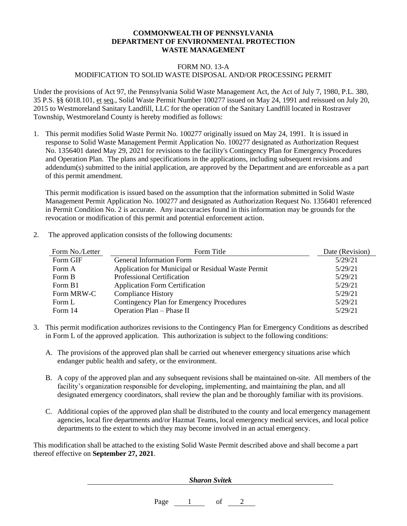## **COMMONWEALTH OF PENNSYLVANIA DEPARTMENT OF ENVIRONMENTAL PROTECTION WASTE MANAGEMENT**

#### FORM NO. 13-A

### MODIFICATION TO SOLID WASTE DISPOSAL AND/OR PROCESSING PERMIT

Under the provisions of Act 97, the Pennsylvania Solid Waste Management Act, the Act of July 7, 1980, P.L. 380, 35 P.S. §§ 6018.101, et seq., Solid Waste Permit Number 100277 issued on May 24, 1991 and reissued on July 20, 2015 to Westmoreland Sanitary Landfill, LLC for the operation of the Sanitary Landfill located in Rostraver Township, Westmoreland County is hereby modified as follows:

1. This permit modifies Solid Waste Permit No. 100277 originally issued on May 24, 1991. It is issued in response to Solid Waste Management Permit Application No. 100277 designated as Authorization Request No. 1356401 dated May 29, 2021 for revisions to the facility's Contingency Plan for Emergency Procedures and Operation Plan. The plans and specifications in the applications, including subsequent revisions and addendum(s) submitted to the initial application, are approved by the Department and are enforceable as a part of this permit amendment.

This permit modification is issued based on the assumption that the information submitted in Solid Waste Management Permit Application No. 100277 and designated as Authorization Request No. 1356401 referenced in Permit Condition No. 2 is accurate. Any inaccuracies found in this information may be grounds for the revocation or modification of this permit and potential enforcement action.

2. The approved application consists of the following documents:

| Form No./Letter | Form Title                                         | Date (Revision) |
|-----------------|----------------------------------------------------|-----------------|
| Form GIF        | General Information Form                           | 5/29/21         |
| Form A          | Application for Municipal or Residual Waste Permit | 5/29/21         |
| Form B          | Professional Certification                         | 5/29/21         |
| Form B1         | <b>Application Form Certification</b>              | 5/29/21         |
| Form MRW-C      | <b>Compliance History</b>                          | 5/29/21         |
| Form L          | Contingency Plan for Emergency Procedures          | 5/29/21         |
| Form 14         | Operation Plan - Phase II                          | 5/29/21         |

- 3. This permit modification authorizes revisions to the Contingency Plan for Emergency Conditions as described in Form L of the approved application. This authorization is subject to the following conditions:
	- A. The provisions of the approved plan shall be carried out whenever emergency situations arise which endanger public health and safety, or the environment.
	- B. A copy of the approved plan and any subsequent revisions shall be maintained on-site. All members of the facility's organization responsible for developing, implementing, and maintaining the plan, and all designated emergency coordinators, shall review the plan and be thoroughly familiar with its provisions.
	- C. Additional copies of the approved plan shall be distributed to the county and local emergency management agencies, local fire departments and/or Hazmat Teams, local emergency medical services, and local police departments to the extent to which they may become involved in an actual emergency.

This modification shall be attached to the existing Solid Waste Permit described above and shall become a part thereof effective on **September 27, 2021**.

*Sharon Svitek*

Page 1 of 2